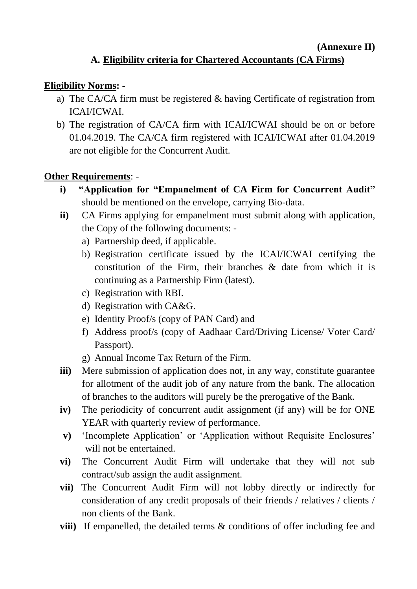## **(Annexure II)**

# **A. Eligibility criteria for Chartered Accountants (CA Firms)**

#### **Eligibility Norms: -**

- a) The CA/CA firm must be registered & having Certificate of registration from ICAI/ICWAI.
- b) The registration of CA/CA firm with ICAI/ICWAI should be on or before 01.04.2019. The CA/CA firm registered with ICAI/ICWAI after 01.04.2019 are not eligible for the Concurrent Audit.

## **Other Requirements**: -

- **i) "Application for "Empanelment of CA Firm for Concurrent Audit"** should be mentioned on the envelope, carrying Bio-data.
- **ii)** CA Firms applying for empanelment must submit along with application, the Copy of the following documents:
	- a) Partnership deed, if applicable.
	- b) Registration certificate issued by the ICAI/ICWAI certifying the constitution of the Firm, their branches & date from which it is continuing as a Partnership Firm (latest).
	- c) Registration with RBI.
	- d) Registration with CA&G.
	- e) Identity Proof/s (copy of PAN Card) and
	- f) Address proof/s (copy of Aadhaar Card/Driving License/ Voter Card/ Passport).
	- g) Annual Income Tax Return of the Firm.
- **iii)** Mere submission of application does not, in any way, constitute guarantee for allotment of the audit job of any nature from the bank. The allocation of branches to the auditors will purely be the prerogative of the Bank.
- **iv)** The periodicity of concurrent audit assignment (if any) will be for ONE YEAR with quarterly review of performance.
- **v)** 'Incomplete Application' or 'Application without Requisite Enclosures' will not be entertained.
- **vi)** The Concurrent Audit Firm will undertake that they will not sub contract/sub assign the audit assignment.
- **vii)** The Concurrent Audit Firm will not lobby directly or indirectly for consideration of any credit proposals of their friends / relatives / clients / non clients of the Bank.
- **viii)** If empanelled, the detailed terms & conditions of offer including fee and